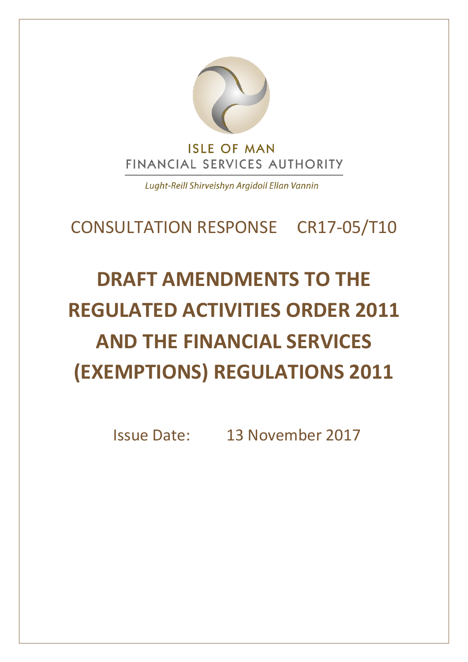

Lught-Reill Shirveishyn Argidoil Ellan Vannin

# CONSULTATION RESPONSE CR17-05/T10

# **DRAFT AMENDMENTS TO THE REGULATED ACTIVITIES ORDER 2011 AND THE FINANCIAL SERVICES (EXEMPTIONS) REGULATIONS 2011**

Issue Date: 13 November 2017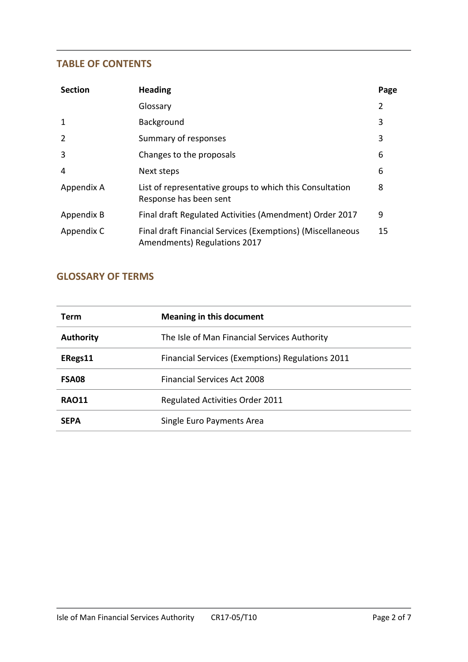#### **TABLE OF CONTENTS**

| <b>Section</b> | <b>Heading</b>                                                                             | Page |
|----------------|--------------------------------------------------------------------------------------------|------|
|                | Glossary                                                                                   | 2    |
| 1              | Background                                                                                 | 3    |
| $\overline{2}$ | Summary of responses                                                                       | 3    |
| 3              | Changes to the proposals                                                                   | 6    |
| $\overline{4}$ | Next steps                                                                                 | 6    |
| Appendix A     | List of representative groups to which this Consultation<br>Response has been sent         |      |
| Appendix B     | Final draft Regulated Activities (Amendment) Order 2017                                    | 9    |
| Appendix C     | Final draft Financial Services (Exemptions) (Miscellaneous<br>Amendments) Regulations 2017 | 15   |

# **GLOSSARY OF TERMS**

| Term             | <b>Meaning in this document</b>                  |
|------------------|--------------------------------------------------|
| <b>Authority</b> | The Isle of Man Financial Services Authority     |
| ERegs11          | Financial Services (Exemptions) Regulations 2011 |
| <b>FSA08</b>     | <b>Financial Services Act 2008</b>               |
| <b>RAO11</b>     | <b>Regulated Activities Order 2011</b>           |
| <b>SEPA</b>      | Single Euro Payments Area                        |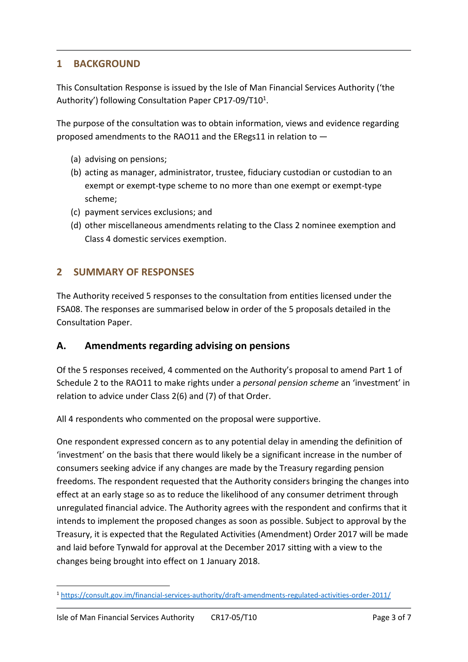#### **1 BACKGROUND**

This Consultation Response is issued by the Isle of Man Financial Services Authority ('the Authority') following Consultation Paper CP17-09/T10<sup>1</sup>.

The purpose of the consultation was to obtain information, views and evidence regarding proposed amendments to the RAO11 and the ERegs11 in relation to —

- (a) advising on pensions;
- (b) acting as manager, administrator, trustee, fiduciary custodian or custodian to an exempt or exempt-type scheme to no more than one exempt or exempt-type scheme;
- (c) payment services exclusions; and
- (d) other miscellaneous amendments relating to the Class 2 nominee exemption and Class 4 domestic services exemption.

#### **2 SUMMARY OF RESPONSES**

The Authority received 5 responses to the consultation from entities licensed under the FSA08. The responses are summarised below in order of the 5 proposals detailed in the Consultation Paper.

#### **A. Amendments regarding advising on pensions**

Of the 5 responses received, 4 commented on the Authority's proposal to amend Part 1 of Schedule 2 to the RAO11 to make rights under a *personal pension scheme* an 'investment' in relation to advice under Class 2(6) and (7) of that Order.

All 4 respondents who commented on the proposal were supportive.

One respondent expressed concern as to any potential delay in amending the definition of 'investment' on the basis that there would likely be a significant increase in the number of consumers seeking advice if any changes are made by the Treasury regarding pension freedoms. The respondent requested that the Authority considers bringing the changes into effect at an early stage so as to reduce the likelihood of any consumer detriment through unregulated financial advice. The Authority agrees with the respondent and confirms that it intends to implement the proposed changes as soon as possible. Subject to approval by the Treasury, it is expected that the Regulated Activities (Amendment) Order 2017 will be made and laid before Tynwald for approval at the December 2017 sitting with a view to the changes being brought into effect on 1 January 2018.

<sup>-</sup><sup>1</sup> <https://consult.gov.im/financial-services-authority/draft-amendments-regulated-activities-order-2011/>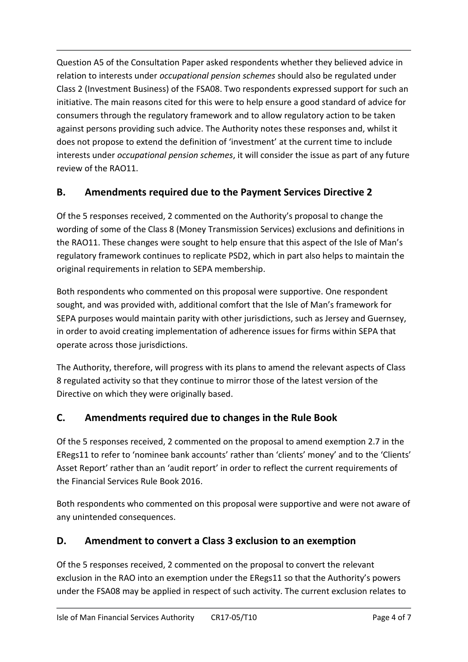Question A5 of the Consultation Paper asked respondents whether they believed advice in relation to interests under *occupational pension schemes* should also be regulated under Class 2 (Investment Business) of the FSA08. Two respondents expressed support for such an initiative. The main reasons cited for this were to help ensure a good standard of advice for consumers through the regulatory framework and to allow regulatory action to be taken against persons providing such advice. The Authority notes these responses and, whilst it does not propose to extend the definition of 'investment' at the current time to include interests under *occupational pension schemes*, it will consider the issue as part of any future review of the RAO11.

# **B. Amendments required due to the Payment Services Directive 2**

Of the 5 responses received, 2 commented on the Authority's proposal to change the wording of some of the Class 8 (Money Transmission Services) exclusions and definitions in the RAO11. These changes were sought to help ensure that this aspect of the Isle of Man's regulatory framework continues to replicate PSD2, which in part also helps to maintain the original requirements in relation to SEPA membership.

Both respondents who commented on this proposal were supportive. One respondent sought, and was provided with, additional comfort that the Isle of Man's framework for SEPA purposes would maintain parity with other jurisdictions, such as Jersey and Guernsey, in order to avoid creating implementation of adherence issues for firms within SEPA that operate across those jurisdictions.

The Authority, therefore, will progress with its plans to amend the relevant aspects of Class 8 regulated activity so that they continue to mirror those of the latest version of the Directive on which they were originally based.

# **C. Amendments required due to changes in the Rule Book**

Of the 5 responses received, 2 commented on the proposal to amend exemption 2.7 in the ERegs11 to refer to 'nominee bank accounts' rather than 'clients' money' and to the 'Clients' Asset Report' rather than an 'audit report' in order to reflect the current requirements of the Financial Services Rule Book 2016.

Both respondents who commented on this proposal were supportive and were not aware of any unintended consequences.

# **D. Amendment to convert a Class 3 exclusion to an exemption**

Of the 5 responses received, 2 commented on the proposal to convert the relevant exclusion in the RAO into an exemption under the ERegs11 so that the Authority's powers under the FSA08 may be applied in respect of such activity. The current exclusion relates to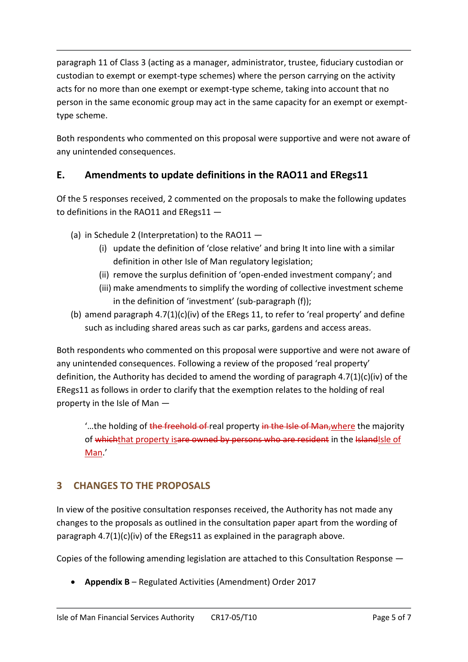paragraph 11 of Class 3 (acting as a manager, administrator, trustee, fiduciary custodian or custodian to exempt or exempt-type schemes) where the person carrying on the activity acts for no more than one exempt or exempt-type scheme, taking into account that no person in the same economic group may act in the same capacity for an exempt or exempttype scheme.

Both respondents who commented on this proposal were supportive and were not aware of any unintended consequences.

# **E. Amendments to update definitions in the RAO11 and ERegs11**

Of the 5 responses received, 2 commented on the proposals to make the following updates to definitions in the RAO11 and ERegs11 —

- (a) in Schedule 2 (Interpretation) to the RAO11
	- (i) update the definition of 'close relative' and bring It into line with a similar definition in other Isle of Man regulatory legislation;
	- (ii) remove the surplus definition of 'open-ended investment company'; and
	- (iii) make amendments to simplify the wording of collective investment scheme in the definition of 'investment' (sub-paragraph (f));
- (b) amend paragraph  $4.7(1)(c)(iv)$  of the ERegs 11, to refer to 'real property' and define such as including shared areas such as car parks, gardens and access areas.

Both respondents who commented on this proposal were supportive and were not aware of any unintended consequences. Following a review of the proposed 'real property' definition, the Authority has decided to amend the wording of paragraph  $4.7(1)(c)(iv)$  of the ERegs11 as follows in order to clarify that the exemption relates to the holding of real property in the Isle of Man —

...the holding of the freehold of real property in the Isle of Man, where the majority of whichthat property isare owned by persons who are resident in the IslandIsle of Man.'

# **3 CHANGES TO THE PROPOSALS**

In view of the positive consultation responses received, the Authority has not made any changes to the proposals as outlined in the consultation paper apart from the wording of paragraph 4.7(1)(c)(iv) of the ERegs11 as explained in the paragraph above.

Copies of the following amending legislation are attached to this Consultation Response —

**Appendix B** – Regulated Activities (Amendment) Order 2017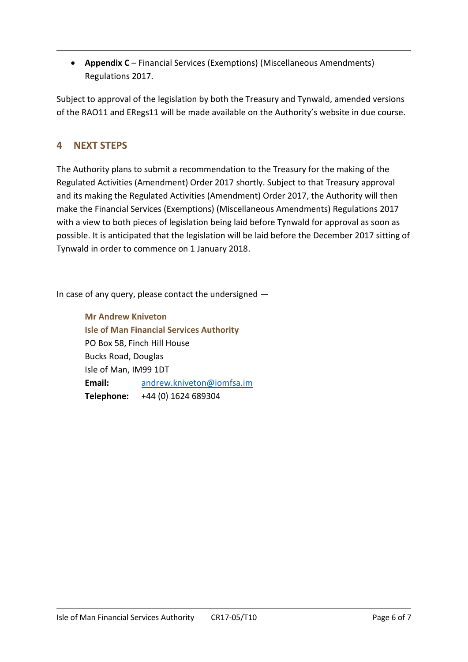**•** Appendix C – Financial Services (Exemptions) (Miscellaneous Amendments) Regulations 2017.

Subject to approval of the legislation by both the Treasury and Tynwald, amended versions of the RAO11 and ERegs11 will be made available on the Authority's website in due course.

#### **4 NEXT STEPS**

The Authority plans to submit a recommendation to the Treasury for the making of the Regulated Activities (Amendment) Order 2017 shortly. Subject to that Treasury approval and its making the Regulated Activities (Amendment) Order 2017, the Authority will then make the Financial Services (Exemptions) (Miscellaneous Amendments) Regulations 2017 with a view to both pieces of legislation being laid before Tynwald for approval as soon as possible. It is anticipated that the legislation will be laid before the December 2017 sitting of Tynwald in order to commence on 1 January 2018.

In case of any query, please contact the undersigned —

**Mr Andrew Kniveton Isle of Man Financial Services Authority** PO Box 58, Finch Hill House Bucks Road, Douglas Isle of Man, IM99 1DT **Email:** [andrew.kniveton@iomfsa.im](mailto:andrew.kniveton@iomfsa.im) **Telephone:** +44 (0) 1624 689304